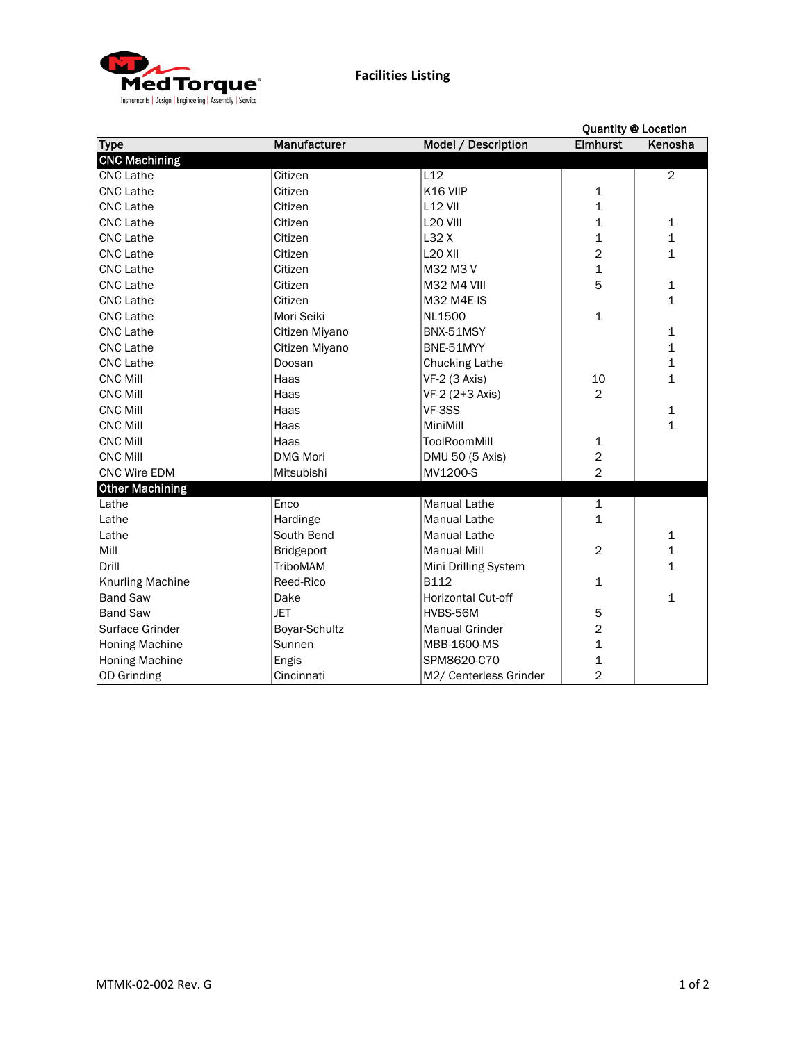

|                         |                 |                           | <b>Quantity @ Location</b> |                |
|-------------------------|-----------------|---------------------------|----------------------------|----------------|
| <b>Type</b>             | Manufacturer    | Model / Description       | <b>Elmhurst</b>            | Kenosha        |
| <b>CNC Machining</b>    |                 |                           |                            |                |
| <b>CNC Lathe</b>        | Citizen         | L12                       |                            | $\overline{2}$ |
| <b>CNC Lathe</b>        | Citizen         | K16 VIIP                  | 1                          |                |
| <b>CNC Lathe</b>        | Citizen         | <b>L12 VII</b>            | $\mathbf 1$                |                |
| <b>CNC Lathe</b>        | Citizen         | L <sub>20</sub> VIII      | $\mathbf{1}$               | 1              |
| <b>CNC Lathe</b>        | Citizen         | L32 X                     | 1                          | $\mathbf{1}$   |
| <b>CNC Lathe</b>        | Citizen         | <b>L20 XII</b>            | $\overline{2}$             | $\mathbf{1}$   |
| <b>CNC Lathe</b>        | Citizen         | M32 M3 V                  | $\overline{1}$             |                |
| <b>CNC Lathe</b>        | Citizen         | <b>M32 M4 VIII</b>        | 5                          | 1              |
| <b>CNC Lathe</b>        | Citizen         | M32 M4E-IS                |                            | 1              |
| <b>CNC Lathe</b>        | Mori Seiki      | NL1500                    | $\mathbf 1$                |                |
| <b>CNC Lathe</b>        | Citizen Miyano  | BNX-51MSY                 |                            | 1              |
| <b>CNC Lathe</b>        | Citizen Miyano  | BNE-51MYY                 |                            | 1              |
| <b>CNC Lathe</b>        | Doosan          | <b>Chucking Lathe</b>     |                            | 1              |
| <b>CNC Mill</b>         | Haas            | VF-2 (3 Axis)             | 10                         | 1              |
| <b>CNC Mill</b>         | Haas            | VF-2 (2+3 Axis)           | $\overline{2}$             |                |
| <b>CNC Mill</b>         | Haas            | VF-3SS                    |                            | 1              |
| <b>CNC Mill</b>         | Haas            | MiniMill                  |                            | $\mathbf 1$    |
| <b>CNC Mill</b>         | Haas            | <b>ToolRoomMill</b>       | $\mathbf 1$                |                |
| <b>CNC Mill</b>         | <b>DMG Mori</b> | DMU 50 (5 Axis)           | $\overline{a}$             |                |
| <b>CNC Wire EDM</b>     | Mitsubishi      | MV1200-S                  | $\overline{2}$             |                |
| <b>Other Machining</b>  |                 |                           |                            |                |
| Lathe                   | Enco            | Manual Lathe              | $\mathbf 1$                |                |
| Lathe                   | Hardinge        | <b>Manual Lathe</b>       | $\mathbf 1$                |                |
| Lathe                   | South Bend      | <b>Manual Lathe</b>       |                            | 1              |
| Mill                    | Bridgeport      | <b>Manual Mill</b>        | $\overline{2}$             | 1              |
| Drill                   | TriboMAM        | Mini Drilling System      |                            | $\mathbf{1}$   |
| <b>Knurling Machine</b> | Reed-Rico       | <b>B112</b>               | $\mathbf{1}$               |                |
| <b>Band Saw</b>         | Dake            | <b>Horizontal Cut-off</b> |                            | 1              |
| <b>Band Saw</b>         | <b>JET</b>      | HVBS-56M                  | 5                          |                |
| Surface Grinder         | Boyar-Schultz   | <b>Manual Grinder</b>     | $\overline{2}$             |                |
| <b>Honing Machine</b>   | Sunnen          | MBB-1600-MS               | $\mathbf 1$                |                |
| <b>Honing Machine</b>   | Engis           | SPM8620-C70               | $\mathbf{1}$               |                |
| <b>OD Grinding</b>      | Cincinnati      | M2/ Centerless Grinder    | $\overline{2}$             |                |